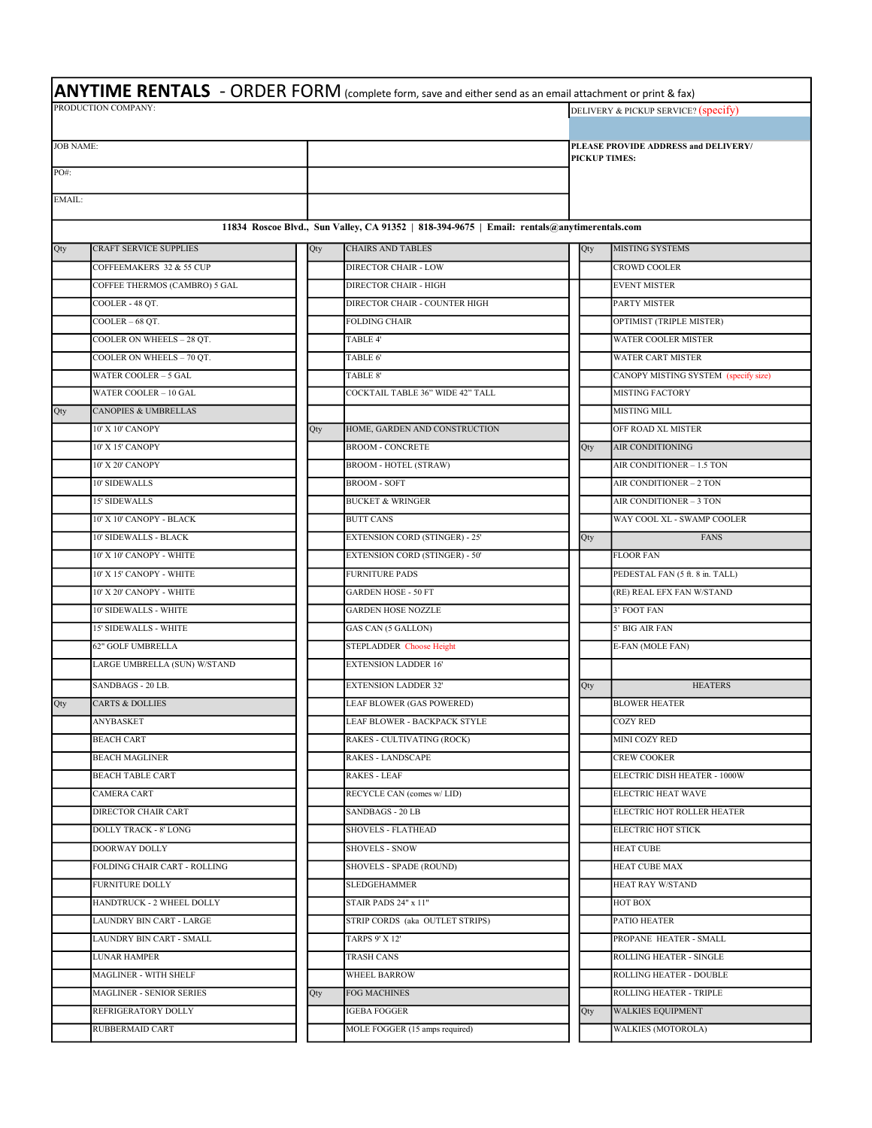|                     |                                 |     | <b>ANYTIME RENTALS</b> - ORDER FORM (complete form, save and either send as an email attachment or print & fax) |     |                      |                                      |  |  |  |
|---------------------|---------------------------------|-----|-----------------------------------------------------------------------------------------------------------------|-----|----------------------|--------------------------------------|--|--|--|
| PRODUCTION COMPANY: |                                 |     |                                                                                                                 |     |                      | DELIVERY & PICKUP SERVICE? (specify) |  |  |  |
|                     |                                 |     |                                                                                                                 |     |                      |                                      |  |  |  |
| <b>JOB NAME:</b>    |                                 |     |                                                                                                                 |     |                      | PLEASE PROVIDE ADDRESS and DELIVERY/ |  |  |  |
| PO#:                |                                 |     |                                                                                                                 |     | <b>PICKUP TIMES:</b> |                                      |  |  |  |
|                     |                                 |     |                                                                                                                 |     |                      |                                      |  |  |  |
| EMAIL:              |                                 |     |                                                                                                                 |     |                      |                                      |  |  |  |
|                     |                                 |     | 11834 Roscoe Blvd., Sun Valley, CA 91352   818-394-9675   Email: rentals@anytimerentals.com                     |     |                      |                                      |  |  |  |
| Qty                 | <b>CRAFT SERVICE SUPPLIES</b>   | Qty | <b>CHAIRS AND TABLES</b>                                                                                        | Qty |                      | <b>MISTING SYSTEMS</b>               |  |  |  |
|                     | COFFEEMAKERS 32 & 55 CUP        |     | <b>DIRECTOR CHAIR - LOW</b>                                                                                     |     |                      | <b>CROWD COOLER</b>                  |  |  |  |
|                     | COFFEE THERMOS (CAMBRO) 5 GAL   |     | DIRECTOR CHAIR - HIGH                                                                                           |     |                      | <b>EVENT MISTER</b>                  |  |  |  |
|                     | COOLER - 48 QT.                 |     | DIRECTOR CHAIR - COUNTER HIGH                                                                                   |     |                      | <b>PARTY MISTER</b>                  |  |  |  |
|                     | $COOLER - 68$ QT.               |     | <b>FOLDING CHAIR</b>                                                                                            |     |                      | OPTIMIST (TRIPLE MISTER)             |  |  |  |
|                     | COOLER ON WHEELS - 28 QT.       |     | TABLE 4'                                                                                                        |     |                      | <b>WATER COOLER MISTER</b>           |  |  |  |
|                     | COOLER ON WHEELS - 70 OT.       |     | TABLE 6'                                                                                                        |     |                      | <b>WATER CART MISTER</b>             |  |  |  |
|                     | WATER COOLER - 5 GAL            |     | TABLE 8'                                                                                                        |     |                      | CANOPY MISTING SYSTEM (specify size) |  |  |  |
|                     | WATER COOLER - 10 GAL           |     | COCKTAIL TABLE 36" WIDE 42" TALL                                                                                |     |                      | <b>MISTING FACTORY</b>               |  |  |  |
| Qty                 | <b>CANOPIES &amp; UMBRELLAS</b> |     |                                                                                                                 |     |                      | <b>MISTING MILL</b>                  |  |  |  |
|                     | 10' X 10' CANOPY                | Qty | HOME, GARDEN AND CONSTRUCTION                                                                                   |     |                      | OFF ROAD XL MISTER                   |  |  |  |
|                     | 10' X 15' CANOPY                |     | <b>BROOM - CONCRETE</b>                                                                                         | Qty |                      | <b>AIR CONDITIONING</b>              |  |  |  |
|                     | 10' X 20' CANOPY                |     | <b>BROOM - HOTEL (STRAW)</b>                                                                                    |     |                      | AIR CONDITIONER - 1.5 TON            |  |  |  |
|                     | <b>10' SIDEWALLS</b>            |     | <b>BROOM - SOFT</b>                                                                                             |     |                      | AIR CONDITIONER - 2 TON              |  |  |  |
|                     | <b>15' SIDEWALLS</b>            |     | <b>BUCKET &amp; WRINGER</b>                                                                                     |     |                      | AIR CONDITIONER - 3 TON              |  |  |  |
|                     | 10' X 10' CANOPY - BLACK        |     | <b>BUTT CANS</b>                                                                                                |     |                      | WAY COOL XL - SWAMP COOLER           |  |  |  |
|                     | 10' SIDEWALLS - BLACK           |     | <b>EXTENSION CORD (STINGER) - 25'</b>                                                                           | Qty |                      | <b>FANS</b>                          |  |  |  |
|                     | 10' X 10' CANOPY - WHITE        |     | <b>EXTENSION CORD (STINGER) - 50'</b>                                                                           |     |                      | <b>FLOOR FAN</b>                     |  |  |  |
|                     | 10' X 15' CANOPY - WHITE        |     | <b>FURNITURE PADS</b>                                                                                           |     |                      | PEDESTAL FAN (5 ft. 8 in. TALL)      |  |  |  |
|                     | 10' X 20' CANOPY - WHITE        |     | <b>GARDEN HOSE - 50 FT</b>                                                                                      |     |                      | (RE) REAL EFX FAN W/STAND            |  |  |  |
|                     | 10' SIDEWALLS - WHITE           |     | <b>GARDEN HOSE NOZZLE</b>                                                                                       |     |                      | 3' FOOT FAN                          |  |  |  |
|                     | <b>15' SIDEWALLS - WHITE</b>    |     | <b>GAS CAN (5 GALLON)</b>                                                                                       |     |                      | 5' BIG AIR FAN                       |  |  |  |
|                     | 62" GOLF UMBRELLA               |     | <b>STEPLADDER Choose Height</b>                                                                                 |     |                      | E-FAN (MOLE FAN)                     |  |  |  |
|                     | LARGE UMBRELLA (SUN) W/STAND    |     | <b>EXTENSION LADDER 16'</b>                                                                                     |     |                      |                                      |  |  |  |
|                     | SANDBAGS - 20 LB.               |     | <b>EXTENSION LADDER 32'</b>                                                                                     | Qty |                      | <b>HEATERS</b>                       |  |  |  |
| Qty                 | <b>CARTS &amp; DOLLIES</b>      |     | LEAF BLOWER (GAS POWERED)                                                                                       |     |                      | <b>BLOWER HEATER</b>                 |  |  |  |
|                     | <b>ANYBASKET</b>                |     | LEAF BLOWER - BACKPACK STYLE                                                                                    |     |                      | <b>COZY RED</b>                      |  |  |  |
|                     | <b>BEACH CART</b>               |     | RAKES - CULTIVATING (ROCK)                                                                                      |     |                      | MINI COZY RED                        |  |  |  |
|                     | <b>BEACH MAGLINER</b>           |     | <b>RAKES - LANDSCAPE</b>                                                                                        |     |                      | <b>CREW COOKER</b>                   |  |  |  |
|                     | <b>BEACH TABLE CART</b>         |     | RAKES - LEAF                                                                                                    |     |                      | ELECTRIC DISH HEATER - 1000W         |  |  |  |
|                     | <b>CAMERA CART</b>              |     | RECYCLE CAN (comes w/LID)                                                                                       |     |                      | ELECTRIC HEAT WAVE                   |  |  |  |
|                     | DIRECTOR CHAIR CART             |     | SANDBAGS - 20 LB                                                                                                |     |                      | ELECTRIC HOT ROLLER HEATER           |  |  |  |
|                     | <b>DOLLY TRACK - 8' LONG</b>    |     | <b>SHOVELS - FLATHEAD</b>                                                                                       |     |                      | ELECTRIC HOT STICK                   |  |  |  |
|                     | DOORWAY DOLLY                   |     | <b>SHOVELS - SNOW</b>                                                                                           |     |                      | <b>HEAT CUBE</b>                     |  |  |  |
|                     | FOLDING CHAIR CART - ROLLING    |     | SHOVELS - SPADE (ROUND)                                                                                         |     |                      | <b>HEAT CUBE MAX</b>                 |  |  |  |
|                     | <b>FURNITURE DOLLY</b>          |     | <b>SLEDGEHAMMER</b>                                                                                             |     |                      | HEAT RAY W/STAND                     |  |  |  |
|                     | HANDTRUCK - 2 WHEEL DOLLY       |     | STAIR PADS 24" x 11"                                                                                            |     |                      | НОТ ВОХ                              |  |  |  |
|                     | LAUNDRY BIN CART - LARGE        |     | STRIP CORDS (aka OUTLET STRIPS)                                                                                 |     |                      | PATIO HEATER                         |  |  |  |
|                     | LAUNDRY BIN CART - SMALL        |     | <b>TARPS 9' X 12'</b>                                                                                           |     |                      | PROPANE HEATER - SMALL               |  |  |  |
|                     | <b>LUNAR HAMPER</b>             |     | <b>TRASH CANS</b>                                                                                               |     |                      | ROLLING HEATER - SINGLE              |  |  |  |
|                     | MAGLINER - WITH SHELF           |     | WHEEL BARROW                                                                                                    |     |                      | ROLLING HEATER - DOUBLE              |  |  |  |
|                     | <b>MAGLINER - SENIOR SERIES</b> | Qty | <b>FOG MACHINES</b>                                                                                             |     |                      | ROLLING HEATER - TRIPLE              |  |  |  |
|                     | REFRIGERATORY DOLLY             |     | <b>IGEBA FOGGER</b>                                                                                             | Qty |                      | <b>WALKIES EQUIPMENT</b>             |  |  |  |
|                     | RUBBERMAID CART                 |     | MOLE FOGGER (15 amps required)                                                                                  |     |                      | <b>WALKIES (MOTOROLA)</b>            |  |  |  |
|                     |                                 |     |                                                                                                                 |     |                      |                                      |  |  |  |

٦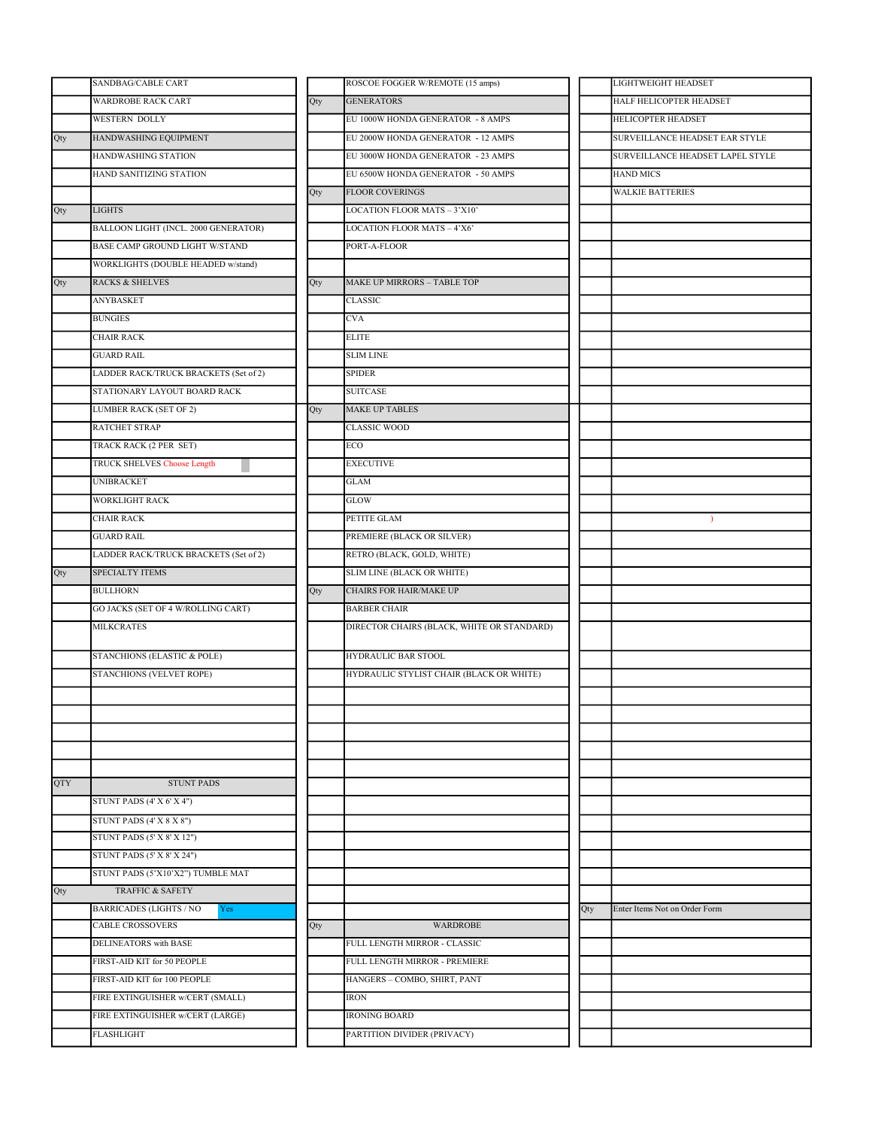|     | SANDBAG/CABLE CART                    |     | ROSCOE FOGGER W/REMOTE (15 amps)           |     | <b>LIGHTWEIGHT HEADSET</b>      |
|-----|---------------------------------------|-----|--------------------------------------------|-----|---------------------------------|
|     | <b>WARDROBE RACK CART</b>             | Qty | <b>GENERATORS</b>                          |     | HALF HELICOPTER HEADSET         |
|     | <b>WESTERN DOLLY</b>                  |     | EU 1000W HONDA GENERATOR - 8 AMPS          |     | HELICOPTER HEADSET              |
| Qty | HANDWASHING EQUIPMENT                 |     | EU 2000W HONDA GENERATOR - 12 AMPS         |     | SURVEILLANCE HEADSET EAR STYLE  |
|     | HANDWASHING STATION                   |     | EU 3000W HONDA GENERATOR - 23 AMPS         |     | SURVEILLANCE HEADSET LAPEL STYI |
|     | HAND SANITIZING STATION               |     | EU 6500W HONDA GENERATOR - 50 AMPS         |     | <b>HAND MICS</b>                |
|     |                                       | Qty | <b>FLOOR COVERINGS</b>                     |     | <b>WALKIE BATTERIES</b>         |
| Qty | <b>LIGHTS</b>                         |     | LOCATION FLOOR MATS - 3'X10'               |     |                                 |
|     | BALLOON LIGHT (INCL. 2000 GENERATOR)  |     | LOCATION FLOOR MATS - 4'X6'                |     |                                 |
|     | BASE CAMP GROUND LIGHT W/STAND        |     | PORT-A-FLOOR                               |     |                                 |
|     | WORKLIGHTS (DOUBLE HEADED w/stand)    |     |                                            |     |                                 |
| Qty | <b>RACKS &amp; SHELVES</b>            | Qty | MAKE UP MIRRORS - TABLE TOP                |     |                                 |
|     | ANYBASKET                             |     | <b>CLASSIC</b>                             |     |                                 |
|     | <b>BUNGIES</b>                        |     | <b>CVA</b>                                 |     |                                 |
|     | CHAIR RACK                            |     | <b>ELITE</b>                               |     |                                 |
|     | <b>GUARD RAIL</b>                     |     | <b>SLIM LINE</b>                           |     |                                 |
|     | LADDER RACK/TRUCK BRACKETS (Set of 2) |     | <b>SPIDER</b>                              |     |                                 |
|     | STATIONARY LAYOUT BOARD RACK          |     | <b>SUITCASE</b>                            |     |                                 |
|     | <b>LUMBER RACK (SET OF 2)</b>         | Qty | <b>MAKE UP TABLES</b>                      |     |                                 |
|     | <b>RATCHET STRAP</b>                  |     | <b>CLASSIC WOOD</b>                        |     |                                 |
|     | TRACK RACK (2 PER SET)                |     | ECO                                        |     |                                 |
|     | <b>TRUCK SHELVES Choose Length</b>    |     | <b>EXECUTIVE</b>                           |     |                                 |
|     | <b>UNIBRACKET</b>                     |     | <b>GLAM</b>                                |     |                                 |
|     | <b>WORKLIGHT RACK</b>                 |     | <b>GLOW</b>                                |     |                                 |
|     | <b>CHAIR RACK</b>                     |     | PETITE GLAM                                |     | $\lambda$                       |
|     | <b>GUARD RAIL</b>                     |     | PREMIERE (BLACK OR SILVER)                 |     |                                 |
|     | LADDER RACK/TRUCK BRACKETS (Set of 2) |     | RETRO (BLACK, GOLD, WHITE)                 |     |                                 |
| Qty | SPECIALTY ITEMS                       |     | <b>SLIM LINE (BLACK OR WHITE)</b>          |     |                                 |
|     | <b>BULLHORN</b>                       | Qty | CHAIRS FOR HAIR/MAKE UP                    |     |                                 |
|     | GO JACKS (SET OF 4 W/ROLLING CART)    |     | <b>BARBER CHAIR</b>                        |     |                                 |
|     | <b>MILKCRATES</b>                     |     | DIRECTOR CHAIRS (BLACK, WHITE OR STANDARD) |     |                                 |
|     | STANCHIONS (ELASTIC & POLE)           |     | <b>HYDRAULIC BAR STOOL</b>                 |     |                                 |
|     | <b>STANCHIONS (VELVET ROPE)</b>       |     | HYDRAULIC STYLIST CHAIR (BLACK OR WHITE)   |     |                                 |
|     |                                       |     |                                            |     |                                 |
|     |                                       |     |                                            |     |                                 |
|     |                                       |     |                                            |     |                                 |
|     |                                       |     |                                            |     |                                 |
|     |                                       |     |                                            |     |                                 |
| QTY | <b>STUNT PADS</b>                     |     |                                            |     |                                 |
|     | STUNT PADS (4' X 6' X 4")             |     |                                            |     |                                 |
|     | STUNT PADS (4' X 8 X 8")              |     |                                            |     |                                 |
|     | STUNT PADS (5' X 8' X 12")            |     |                                            |     |                                 |
|     | STUNT PADS (5' X 8' X 24")            |     |                                            |     |                                 |
|     | STUNT PADS (5'X10'X2") TUMBLE MAT     |     |                                            |     |                                 |
| Qty | TRAFFIC & SAFETY                      |     |                                            |     |                                 |
|     | <b>BARRICADES (LIGHTS / NO</b><br>Yes |     |                                            | Qty | Enter Items Not on Order Form   |
|     | <b>CABLE CROSSOVERS</b>               | Qty | <b>WARDROBE</b>                            |     |                                 |
|     | DELINEATORS with BASE                 |     | FULL LENGTH MIRROR - CLASSIC               |     |                                 |
|     | FIRST-AID KIT for 50 PEOPLE           |     | FULL LENGTH MIRROR - PREMIERE              |     |                                 |
|     | FIRST-AID KIT for 100 PEOPLE          |     | HANGERS - COMBO, SHIRT, PANT               |     |                                 |
|     | FIRE EXTINGUISHER w/CERT (SMALL)      |     | <b>IRON</b>                                |     |                                 |
|     | FIRE EXTINGUISHER w/CERT (LARGE)      |     | <b>IRONING BOARD</b>                       |     |                                 |
|     | <b>FLASHLIGHT</b>                     |     | PARTITION DIVIDER (PRIVACY)                |     |                                 |
|     |                                       |     |                                            |     |                                 |

| ROSCOE FOGGER W/REMOTE (15 amps)                              | LIGHTWEIGHT HEADSET                  |
|---------------------------------------------------------------|--------------------------------------|
| <b>GENERATORS</b>                                             | HALF HELICOPTER HEADSET              |
| EU 1000W HONDA GENERATOR - 8 AMPS                             | HELICOPTER HEADSET                   |
| EU 2000W HONDA GENERATOR - 12 AMPS                            | SURVEILLANCE HEADSET EAR STYLE       |
| EU 3000W HONDA GENERATOR - 23 AMPS                            | SURVEILLANCE HEADSET LAPEL STYLE     |
| EU 6500W HONDA GENERATOR - 50 AMPS                            | <b>HAND MICS</b>                     |
| <b>FLOOR COVERINGS</b>                                        | <b>WALKIE BATTERIES</b>              |
| LOCATION FLOOR MATS - 3'X10'                                  |                                      |
| LOCATION FLOOR MATS - 4'X6'                                   |                                      |
| PORT-A-FLOOR                                                  |                                      |
|                                                               |                                      |
| MAKE UP MIRRORS – TABLE TOP                                   |                                      |
| CLASSIC                                                       |                                      |
| CVA                                                           |                                      |
| <b>ELITE</b>                                                  |                                      |
| <b>SLIM LINE</b>                                              |                                      |
| <b>SPIDER</b>                                                 |                                      |
| <b>SUITCASE</b>                                               |                                      |
| MAKE UP TABLES                                                |                                      |
| <b>CLASSIC WOOD</b>                                           |                                      |
| ECO                                                           |                                      |
| <b>EXECUTIVE</b>                                              |                                      |
| <b>GLAM</b>                                                   |                                      |
| GLOW                                                          |                                      |
| PETITE GLAM                                                   | $\lambda$                            |
| PREMIERE (BLACK OR SILVER)                                    |                                      |
| RETRO (BLACK, GOLD, WHITE)                                    |                                      |
| SLIM LINE (BLACK OR WHITE)                                    |                                      |
| CHAIRS FOR HAIR/MAKE UP                                       |                                      |
| <b>BARBER CHAIR</b>                                           |                                      |
| DIRECTOR CHAIRS (BLACK, WHITE OR STANDARD)                    |                                      |
|                                                               |                                      |
| HYDRAULIC BAR STOOL                                           |                                      |
| HYDRAULIC STYLIST CHAIR (BLACK OR WHITE)                      |                                      |
|                                                               |                                      |
|                                                               |                                      |
|                                                               |                                      |
|                                                               |                                      |
|                                                               |                                      |
|                                                               |                                      |
|                                                               |                                      |
|                                                               |                                      |
|                                                               |                                      |
|                                                               |                                      |
|                                                               |                                      |
|                                                               |                                      |
|                                                               |                                      |
|                                                               | Enter Items Not on Order Form<br>Qty |
| WARDROBE                                                      |                                      |
|                                                               |                                      |
| FULL LENGTH MIRROR - CLASSIC<br>FULL LENGTH MIRROR - PREMIERE |                                      |
| HANGERS - COMBO, SHIRT, PANT                                  |                                      |
| <b>IRON</b>                                                   |                                      |
| <b>IRONING BOARD</b>                                          |                                      |